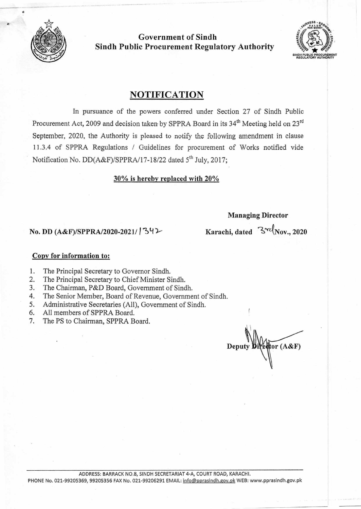

**p** 

**Government of Sindh Sindh Public Procurement Regulatory Authority** 



## **NOTIFICATION**

In pursuance of the powers conferred under Section 27 of Sindh Public Procurement Act, 2009 and decision taken by SPPRA Board in its 34<sup>th</sup> Meeting held on 23<sup>rd</sup> September, 2020, the Authority is pleased to notify the following amendment in clause 1 1.3.4 of SPPRA Regulations / Guidelines for procurement of Works notified vide Notification No. DD(A&F)/SPPRA/17-18/22 dated 5<sup>th</sup> July, 2017;

#### **30% is hereby replaced with 20%**

#### **Managing Director**

# **No. DD** (A&F)/SPPRA/2020-2021/ <sup>1</sup>342 **Karachi, dated**  $\frac{3}{2}$ <sup>-c</sup>(Nov., 2020

#### **Copy for information to:**

- 1. The Principal Secretary to Governor Sindh.
- 2. The Principal Secretary to Chief Minister Sindh.
- 3. The Chairman, P&D Board, Government of Sindh.
- 4. The Senior Member, Board of Revenue, Government of Sindh.<br>5. Administrative Secretaries (All). Government of Sindh.
- Administrative Secretaries (All), Government of Sindh.
- 6. All members of SPPRA Board.
- 7. The PS to Chairman, SPPRA Board.

 $\sqrt{\text{tor}(A\&F)}$ Deput